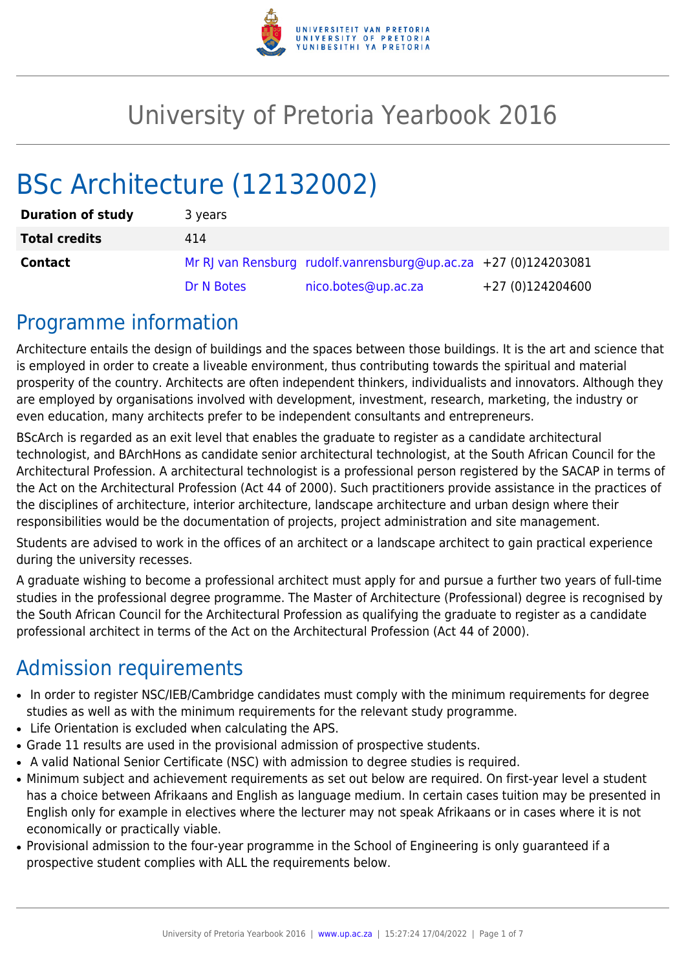

# University of Pretoria Yearbook 2016

# BSc Architecture (12132002)

| <b>Duration of study</b> | 3 years    |                                                                 |                  |
|--------------------------|------------|-----------------------------------------------------------------|------------------|
| <b>Total credits</b>     | 414        |                                                                 |                  |
| <b>Contact</b>           |            | Mr RJ van Rensburg rudolf.vanrensburg@up.ac.za +27 (0)124203081 |                  |
|                          | Dr N Botes | nico.botes@up.ac.za                                             | +27 (0)124204600 |

### Programme information

Architecture entails the design of buildings and the spaces between those buildings. It is the art and science that is employed in order to create a liveable environment, thus contributing towards the spiritual and material prosperity of the country. Architects are often independent thinkers, individualists and innovators. Although they are employed by organisations involved with development, investment, research, marketing, the industry or even education, many architects prefer to be independent consultants and entrepreneurs.

BScArch is regarded as an exit level that enables the graduate to register as a candidate architectural technologist, and BArchHons as candidate senior architectural technologist, at the South African Council for the Architectural Profession. A architectural technologist is a professional person registered by the SACAP in terms of the Act on the Architectural Profession (Act 44 of 2000). Such practitioners provide assistance in the practices of the disciplines of architecture, interior architecture, landscape architecture and urban design where their responsibilities would be the documentation of projects, project administration and site management.

Students are advised to work in the offices of an architect or a landscape architect to gain practical experience during the university recesses.

A graduate wishing to become a professional architect must apply for and pursue a further two years of full-time studies in the professional degree programme. The Master of Architecture (Professional) degree is recognised by the South African Council for the Architectural Profession as qualifying the graduate to register as a candidate professional architect in terms of the Act on the Architectural Profession (Act 44 of 2000).

# Admission requirements

- In order to register NSC/IEB/Cambridge candidates must comply with the minimum requirements for degree studies as well as with the minimum requirements for the relevant study programme.
- Life Orientation is excluded when calculating the APS.
- Grade 11 results are used in the provisional admission of prospective students.
- A valid National Senior Certificate (NSC) with admission to degree studies is required.
- Minimum subject and achievement requirements as set out below are required. On first-year level a student has a choice between Afrikaans and English as language medium. In certain cases tuition may be presented in English only for example in electives where the lecturer may not speak Afrikaans or in cases where it is not economically or practically viable.
- Provisional admission to the four-year programme in the School of Engineering is only guaranteed if a prospective student complies with ALL the requirements below.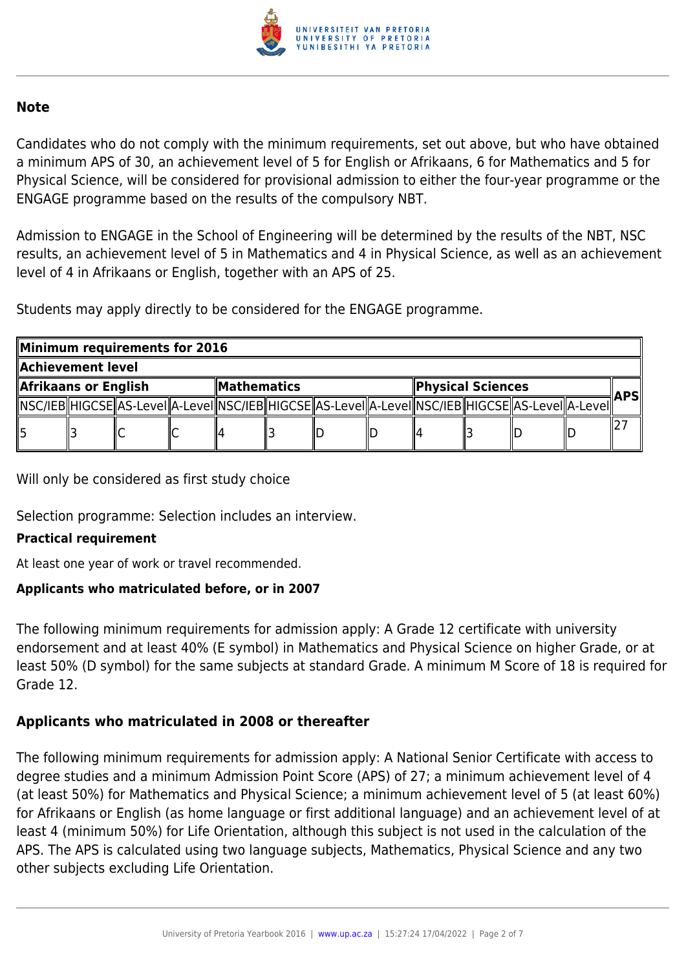

#### **Note**

Candidates who do not comply with the minimum requirements, set out above, but who have obtained a minimum APS of 30, an achievement level of 5 for English or Afrikaans, 6 for Mathematics and 5 for Physical Science, will be considered for provisional admission to either the four-year programme or the ENGAGE programme based on the results of the compulsory NBT.

Admission to ENGAGE in the School of Engineering will be determined by the results of the NBT, NSC results, an achievement level of 5 in Mathematics and 4 in Physical Science, as well as an achievement level of 4 in Afrikaans or English, together with an APS of 25.

Students may apply directly to be considered for the ENGAGE programme.

| Minimum requirements for 2016 |  |                                                                                                            |                  |  |  |                   |  |  |  |            |  |  |  |
|-------------------------------|--|------------------------------------------------------------------------------------------------------------|------------------|--|--|-------------------|--|--|--|------------|--|--|--|
| Achievement level             |  |                                                                                                            |                  |  |  |                   |  |  |  |            |  |  |  |
| Afrikaans or English          |  |                                                                                                            | $\ $ Mathematics |  |  | Physical Sciences |  |  |  | <b>APS</b> |  |  |  |
|                               |  | NSC/IEB  HIGCSE  AS-LeveI  A-LeveI  NSC/IEB  HIGCSE  AS-LeveI  A-LeveI  NSC/IEB  HIGCSE  AS-LeveI  A-LeveI |                  |  |  |                   |  |  |  |            |  |  |  |
|                               |  |                                                                                                            |                  |  |  |                   |  |  |  |            |  |  |  |

Will only be considered as first study choice

Selection programme: Selection includes an interview.

#### **Practical requirement**

At least one year of work or travel recommended.

#### **Applicants who matriculated before, or in 2007**

The following minimum requirements for admission apply: A Grade 12 certificate with university endorsement and at least 40% (E symbol) in Mathematics and Physical Science on higher Grade, or at least 50% (D symbol) for the same subjects at standard Grade. A minimum M Score of 18 is required for Grade 12.

### **Applicants who matriculated in 2008 or thereafter**

The following minimum requirements for admission apply: A National Senior Certificate with access to degree studies and a minimum Admission Point Score (APS) of 27; a minimum achievement level of 4 (at least 50%) for Mathematics and Physical Science; a minimum achievement level of 5 (at least 60%) for Afrikaans or English (as home language or first additional language) and an achievement level of at least 4 (minimum 50%) for Life Orientation, although this subject is not used in the calculation of the APS. The APS is calculated using two language subjects, Mathematics, Physical Science and any two other subjects excluding Life Orientation.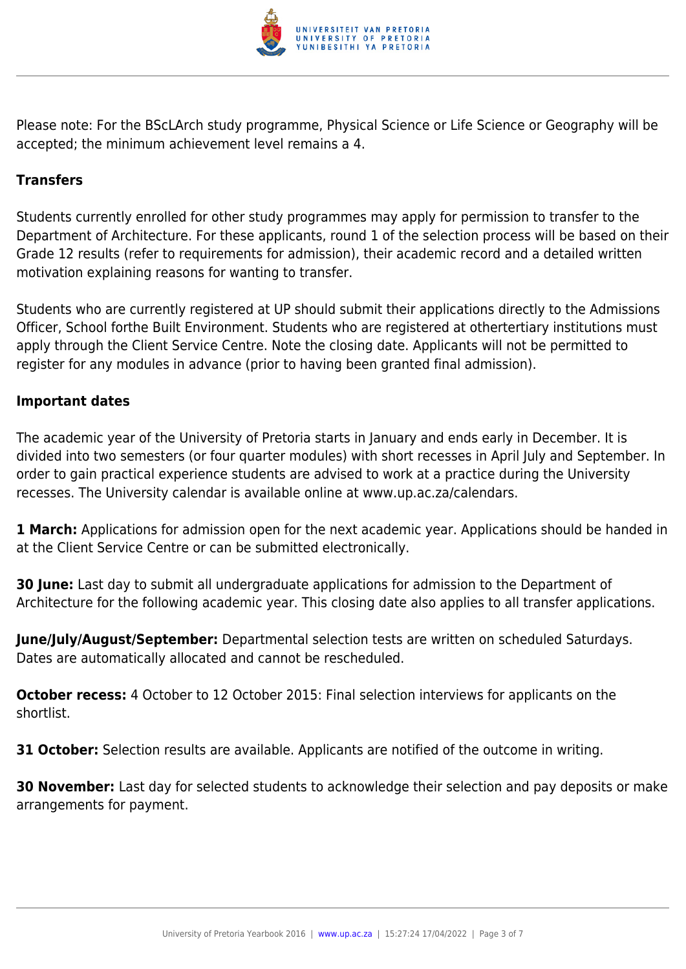

Please note: For the BScLArch study programme, Physical Science or Life Science or Geography will be accepted; the minimum achievement level remains a 4.

### **Transfers**

Students currently enrolled for other study programmes may apply for permission to transfer to the Department of Architecture. For these applicants, round 1 of the selection process will be based on their Grade 12 results (refer to requirements for admission), their academic record and a detailed written motivation explaining reasons for wanting to transfer.

Students who are currently registered at UP should submit their applications directly to the Admissions Officer, School forthe Built Environment. Students who are registered at othertertiary institutions must apply through the Client Service Centre. Note the closing date. Applicants will not be permitted to register for any modules in advance (prior to having been granted final admission).

#### **Important dates**

The academic year of the University of Pretoria starts in January and ends early in December. It is divided into two semesters (or four quarter modules) with short recesses in April July and September. In order to gain practical experience students are advised to work at a practice during the University recesses. The University calendar is available online at www.up.ac.za/calendars.

**1 March:** Applications for admission open for the next academic year. Applications should be handed in at the Client Service Centre or can be submitted electronically.

**30 June:** Last day to submit all undergraduate applications for admission to the Department of Architecture for the following academic year. This closing date also applies to all transfer applications.

**June/July/August/September:** Departmental selection tests are written on scheduled Saturdays. Dates are automatically allocated and cannot be rescheduled.

**October recess:** 4 October to 12 October 2015: Final selection interviews for applicants on the shortlist.

**31 October:** Selection results are available. Applicants are notified of the outcome in writing.

**30 November:** Last day for selected students to acknowledge their selection and pay deposits or make arrangements for payment.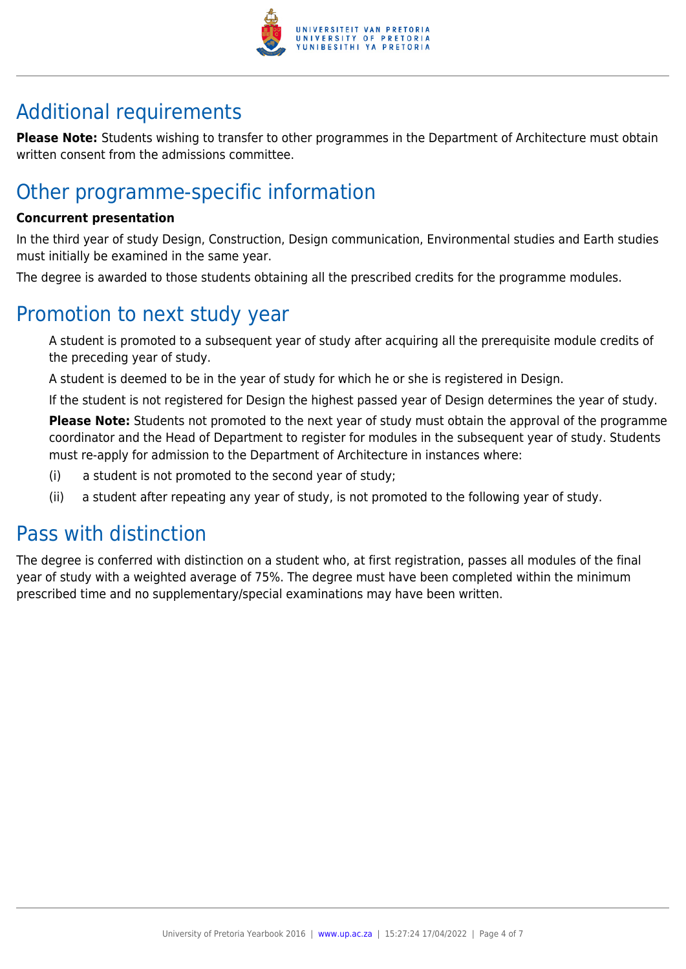

# Additional requirements

**Please Note:** Students wishing to transfer to other programmes in the Department of Architecture must obtain written consent from the admissions committee.

# Other programme-specific information

#### **Concurrent presentation**

In the third year of study Design, Construction, Design communication, Environmental studies and Earth studies must initially be examined in the same year.

The degree is awarded to those students obtaining all the prescribed credits for the programme modules.

### Promotion to next study year

A student is promoted to a subsequent year of study after acquiring all the prerequisite module credits of the preceding year of study.

A student is deemed to be in the year of study for which he or she is registered in Design.

If the student is not registered for Design the highest passed year of Design determines the year of study.

**Please Note:** Students not promoted to the next year of study must obtain the approval of the programme coordinator and the Head of Department to register for modules in the subsequent year of study. Students must re-apply for admission to the Department of Architecture in instances where:

- (i) a student is not promoted to the second year of study;
- (ii) a student after repeating any year of study, is not promoted to the following year of study.

## Pass with distinction

The degree is conferred with distinction on a student who, at first registration, passes all modules of the final year of study with a weighted average of 75%. The degree must have been completed within the minimum prescribed time and no supplementary/special examinations may have been written.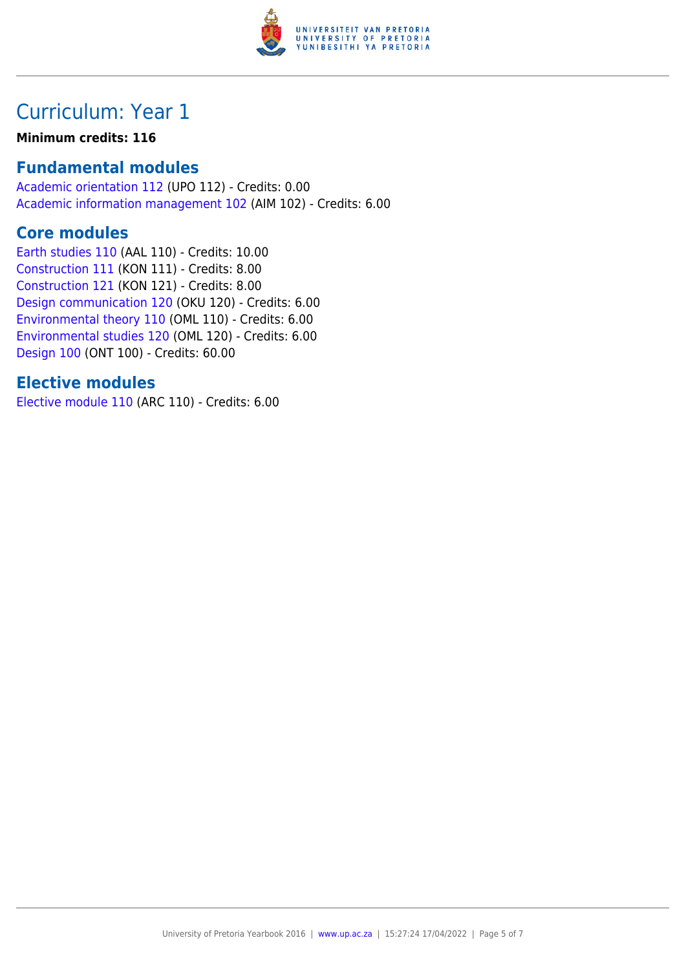

# Curriculum: Year 1

#### **Minimum credits: 116**

### **Fundamental modules**

[Academic orientation 112](https://www.up.ac.za/yearbooks/2016/modules/view/UPO 112) (UPO 112) - Credits: 0.00 [Academic information management 102](https://www.up.ac.za/yearbooks/2016/modules/view/AIM 102) (AIM 102) - Credits: 6.00

### **Core modules**

[Earth studies 110](https://www.up.ac.za/yearbooks/2016/modules/view/AAL 110) (AAL 110) - Credits: 10.00 [Construction 111](https://www.up.ac.za/yearbooks/2016/modules/view/KON 111) (KON 111) - Credits: 8.00 [Construction 121](https://www.up.ac.za/yearbooks/2016/modules/view/KON 121) (KON 121) - Credits: 8.00 [Design communication 120](https://www.up.ac.za/yearbooks/2016/modules/view/OKU 120) (OKU 120) - Credits: 6.00 [Environmental theory 110](https://www.up.ac.za/yearbooks/2016/modules/view/OML 110) (OML 110) - Credits: 6.00 [Environmental studies 120](https://www.up.ac.za/yearbooks/2016/modules/view/OML 120) (OML 120) - Credits: 6.00 [Design 100](https://www.up.ac.za/yearbooks/2016/modules/view/ONT 100) (ONT 100) - Credits: 60.00

### **Elective modules**

[Elective module 110](https://www.up.ac.za/yearbooks/2016/modules/view/ARC 110) (ARC 110) - Credits: 6.00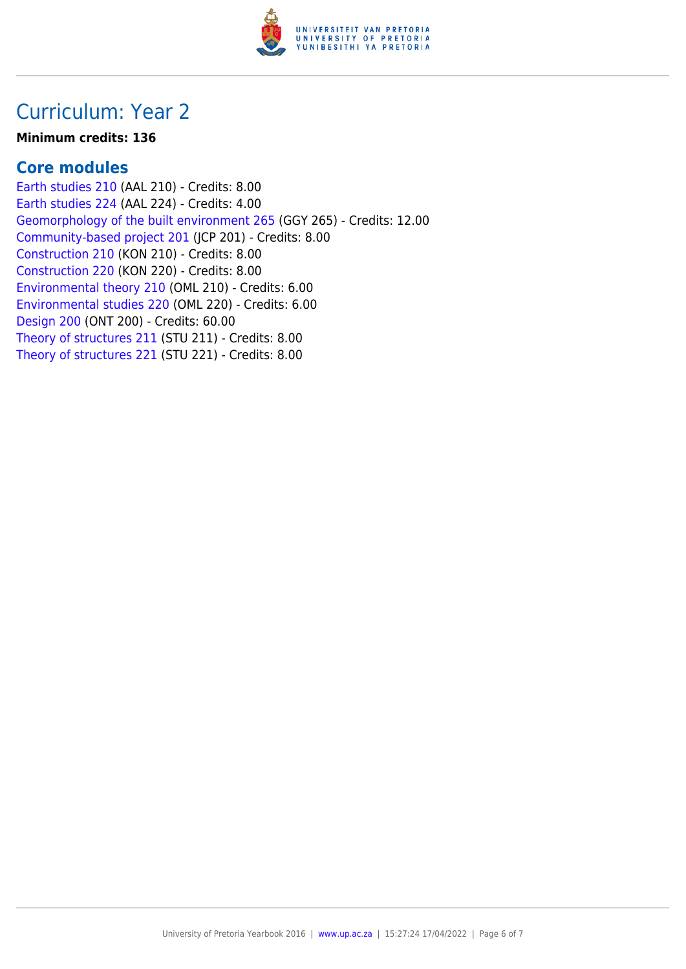

## Curriculum: Year 2

#### **Minimum credits: 136**

### **Core modules**

[Earth studies 210](https://www.up.ac.za/yearbooks/2016/modules/view/AAL 210) (AAL 210) - Credits: 8.00 [Earth studies 224](https://www.up.ac.za/yearbooks/2016/modules/view/AAL 224) (AAL 224) - Credits: 4.00 [Geomorphology of the built environment 265](https://www.up.ac.za/yearbooks/2016/modules/view/GGY 265) (GGY 265) - Credits: 12.00 [Community-based project 201](https://www.up.ac.za/yearbooks/2016/modules/view/JCP 201) (JCP 201) - Credits: 8.00 [Construction 210](https://www.up.ac.za/yearbooks/2016/modules/view/KON 210) (KON 210) - Credits: 8.00 [Construction 220](https://www.up.ac.za/yearbooks/2016/modules/view/KON 220) (KON 220) - Credits: 8.00 [Environmental theory 210](https://www.up.ac.za/yearbooks/2016/modules/view/OML 210) (OML 210) - Credits: 6.00 [Environmental studies 220](https://www.up.ac.za/yearbooks/2016/modules/view/OML 220) (OML 220) - Credits: 6.00 [Design 200](https://www.up.ac.za/yearbooks/2016/modules/view/ONT 200) (ONT 200) - Credits: 60.00 [Theory of structures 211](https://www.up.ac.za/yearbooks/2016/modules/view/STU 211) (STU 211) - Credits: 8.00 [Theory of structures 221](https://www.up.ac.za/yearbooks/2016/modules/view/STU 221) (STU 221) - Credits: 8.00